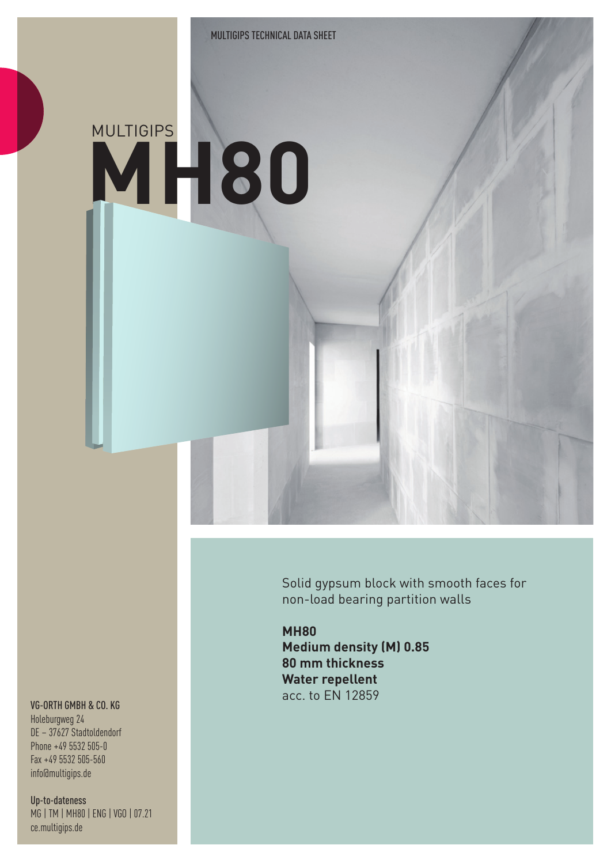## MULTIGIPS **MH80**

Solid gypsum block with smooth faces for non-load bearing partition walls

**MH80 Medium density (M) 0.85 80 mm thickness Water repellent** acc. to EN 12859

## VG-ORTH GMBH & CO. KG

Holeburgweg 24 DE – 37627 Stadtoldendorf Phone +49 5532 505-0 Fax +49 5532 505-560 info@multigips.de

Up-to-dateness MG | TM | MH80 | ENG | VGO | 07.21 ce.multigips.de